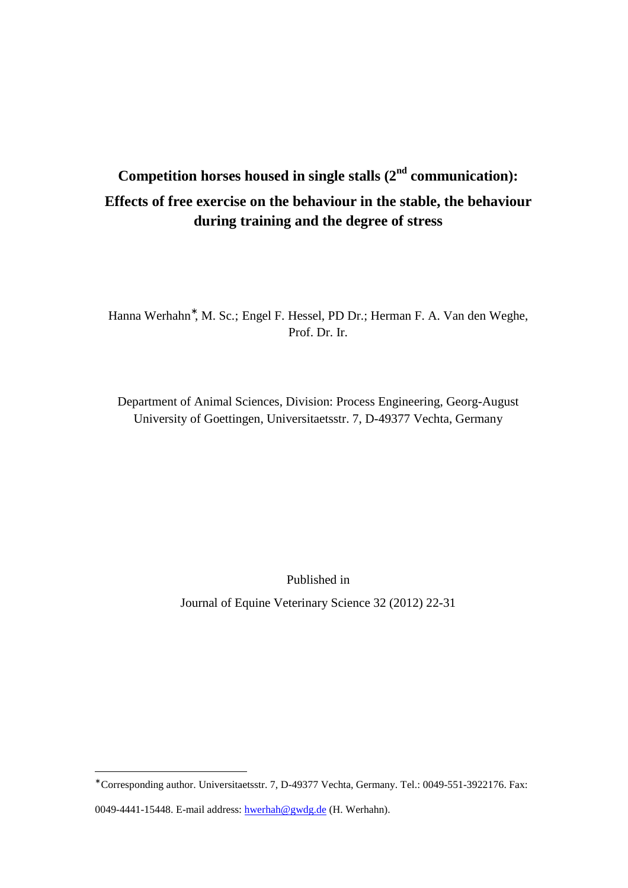# **Competition horses housed in single stalls (2nd communication): Effects of free exercise on the behaviour in the stable, the behaviour during training and the degree of stress**

Hanna Werhahn<sup>∗</sup> , M. Sc.; Engel F. Hessel, PD Dr.; Herman F. A. Van den Weghe, Prof. Dr. Ir.

Department of Animal Sciences, Division: Process Engineering, Georg-August University of Goettingen, Universitaetsstr. 7, D-49377 Vechta, Germany

Published in

Journal of Equine Veterinary Science 32 (2012) 22-31

 $\overline{a}$ 

<sup>∗</sup> Corresponding author. Universitaetsstr. 7, D-49377 Vechta, Germany. Tel.: 0049-551-3922176. Fax:

<sup>0049-4441-15448.</sup> E-mail address: hwerhah@gwdg.de (H. Werhahn).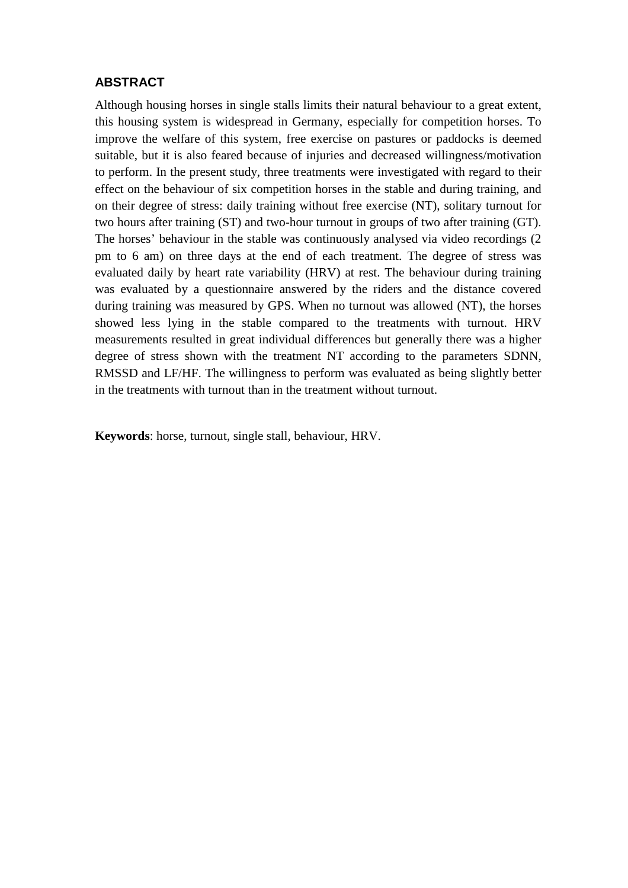#### **ABSTRACT**

Although housing horses in single stalls limits their natural behaviour to a great extent, this housing system is widespread in Germany, especially for competition horses. To improve the welfare of this system, free exercise on pastures or paddocks is deemed suitable, but it is also feared because of injuries and decreased willingness/motivation to perform. In the present study, three treatments were investigated with regard to their effect on the behaviour of six competition horses in the stable and during training, and on their degree of stress: daily training without free exercise (NT), solitary turnout for two hours after training (ST) and two-hour turnout in groups of two after training (GT). The horses' behaviour in the stable was continuously analysed via video recordings (2 pm to 6 am) on three days at the end of each treatment. The degree of stress was evaluated daily by heart rate variability (HRV) at rest. The behaviour during training was evaluated by a questionnaire answered by the riders and the distance covered during training was measured by GPS. When no turnout was allowed (NT), the horses showed less lying in the stable compared to the treatments with turnout. HRV measurements resulted in great individual differences but generally there was a higher degree of stress shown with the treatment NT according to the parameters SDNN, RMSSD and LF/HF. The willingness to perform was evaluated as being slightly better in the treatments with turnout than in the treatment without turnout.

**Keywords**: horse, turnout, single stall, behaviour, HRV.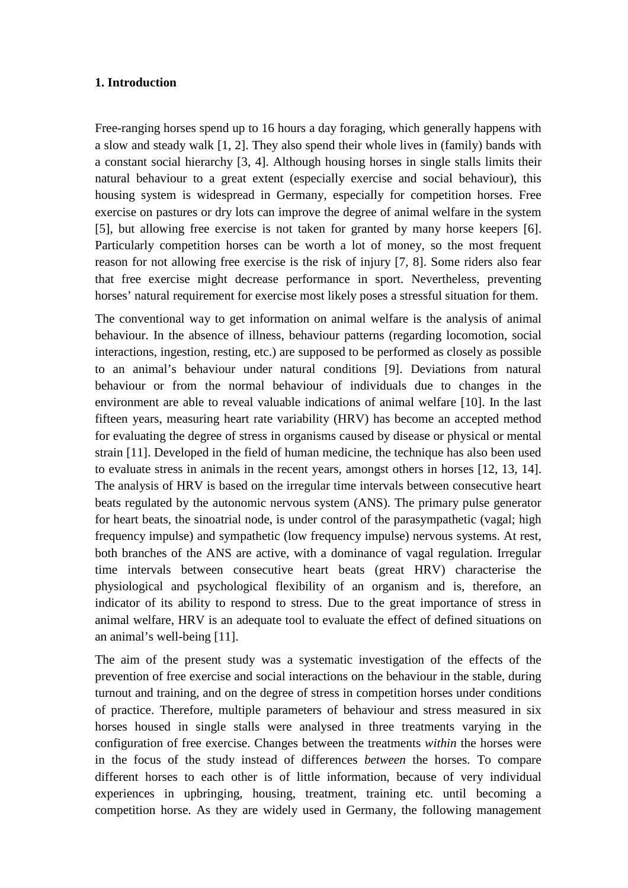#### **1. Introduction**

Free-ranging horses spend up to 16 hours a day foraging, which generally happens with a slow and steady walk [1, 2]. They also spend their whole lives in (family) bands with a constant social hierarchy [3, 4]. Although housing horses in single stalls limits their natural behaviour to a great extent (especially exercise and social behaviour), this housing system is widespread in Germany, especially for competition horses. Free exercise on pastures or dry lots can improve the degree of animal welfare in the system [5], but allowing free exercise is not taken for granted by many horse keepers [6]. Particularly competition horses can be worth a lot of money, so the most frequent reason for not allowing free exercise is the risk of injury [7, 8]. Some riders also fear that free exercise might decrease performance in sport. Nevertheless, preventing horses' natural requirement for exercise most likely poses a stressful situation for them.

The conventional way to get information on animal welfare is the analysis of animal behaviour. In the absence of illness, behaviour patterns (regarding locomotion, social interactions, ingestion, resting, etc.) are supposed to be performed as closely as possible to an animal's behaviour under natural conditions [9]. Deviations from natural behaviour or from the normal behaviour of individuals due to changes in the environment are able to reveal valuable indications of animal welfare [10]. In the last fifteen years, measuring heart rate variability (HRV) has become an accepted method for evaluating the degree of stress in organisms caused by disease or physical or mental strain [11]. Developed in the field of human medicine, the technique has also been used to evaluate stress in animals in the recent years, amongst others in horses [12, 13, 14]. The analysis of HRV is based on the irregular time intervals between consecutive heart beats regulated by the autonomic nervous system (ANS). The primary pulse generator for heart beats, the sinoatrial node, is under control of the parasympathetic (vagal; high frequency impulse) and sympathetic (low frequency impulse) nervous systems. At rest, both branches of the ANS are active, with a dominance of vagal regulation. Irregular time intervals between consecutive heart beats (great HRV) characterise the physiological and psychological flexibility of an organism and is, therefore, an indicator of its ability to respond to stress. Due to the great importance of stress in animal welfare, HRV is an adequate tool to evaluate the effect of defined situations on an animal's well-being [11].

The aim of the present study was a systematic investigation of the effects of the prevention of free exercise and social interactions on the behaviour in the stable, during turnout and training, and on the degree of stress in competition horses under conditions of practice. Therefore, multiple parameters of behaviour and stress measured in six horses housed in single stalls were analysed in three treatments varying in the configuration of free exercise. Changes between the treatments *within* the horses were in the focus of the study instead of differences *between* the horses. To compare different horses to each other is of little information, because of very individual experiences in upbringing, housing, treatment, training etc. until becoming a competition horse. As they are widely used in Germany, the following management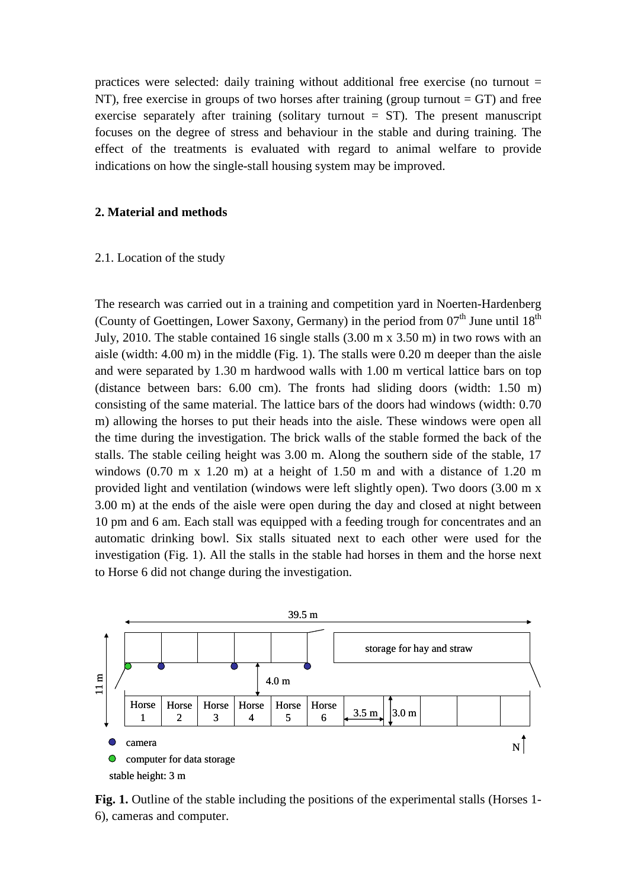practices were selected: daily training without additional free exercise (no turnout  $=$ NT), free exercise in groups of two horses after training (group turnout  $= GT$ ) and free exercise separately after training (solitary turnout  $= ST$ ). The present manuscript focuses on the degree of stress and behaviour in the stable and during training. The effect of the treatments is evaluated with regard to animal welfare to provide indications on how the single-stall housing system may be improved.

#### **2. Material and methods**

#### 2.1. Location of the study

The research was carried out in a training and competition yard in Noerten-Hardenberg (County of Goettingen, Lower Saxony, Germany) in the period from  $07<sup>th</sup>$  June until  $18<sup>th</sup>$ July, 2010. The stable contained 16 single stalls (3.00 m x 3.50 m) in two rows with an aisle (width: 4.00 m) in the middle (Fig. 1). The stalls were 0.20 m deeper than the aisle and were separated by 1.30 m hardwood walls with 1.00 m vertical lattice bars on top (distance between bars: 6.00 cm). The fronts had sliding doors (width: 1.50 m) consisting of the same material. The lattice bars of the doors had windows (width: 0.70 m) allowing the horses to put their heads into the aisle. These windows were open all the time during the investigation. The brick walls of the stable formed the back of the stalls. The stable ceiling height was 3.00 m. Along the southern side of the stable, 17 windows (0.70 m x 1.20 m) at a height of 1.50 m and with a distance of 1.20 m provided light and ventilation (windows were left slightly open). Two doors (3.00 m x 3.00 m) at the ends of the aisle were open during the day and closed at night between 10 pm and 6 am. Each stall was equipped with a feeding trough for concentrates and an automatic drinking bowl. Six stalls situated next to each other were used for the investigation (Fig. 1). All the stalls in the stable had horses in them and the horse next to Horse 6 did not change during the investigation.



Fig. 1. Outline of the stable including the positions of the experimental stalls (Horses 1-6), cameras and computer.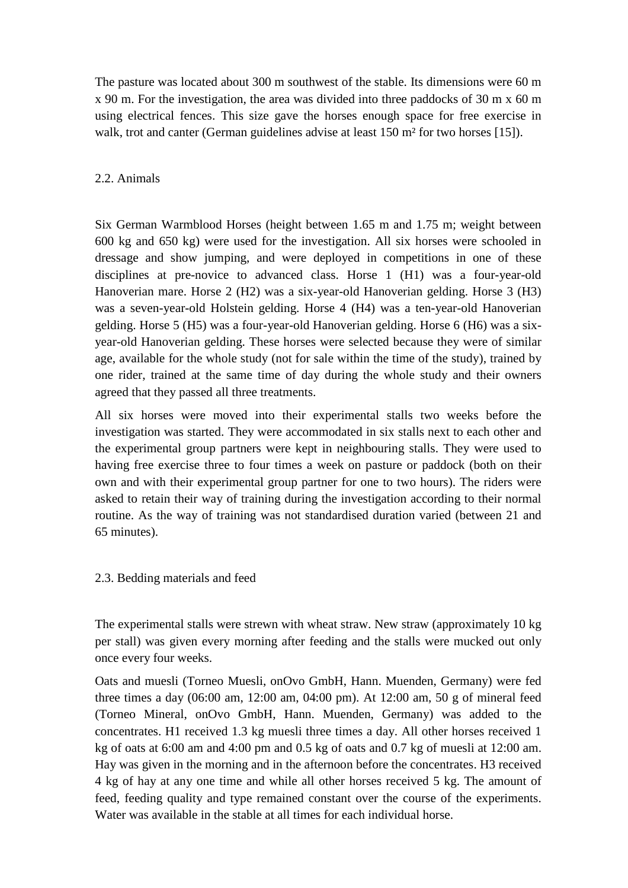The pasture was located about 300 m southwest of the stable. Its dimensions were 60 m x 90 m. For the investigation, the area was divided into three paddocks of 30 m x 60 m using electrical fences. This size gave the horses enough space for free exercise in walk, trot and canter (German guidelines advise at least 150 m<sup>2</sup> for two horses [15]).

# 2.2. Animals

Six German Warmblood Horses (height between 1.65 m and 1.75 m; weight between 600 kg and 650 kg) were used for the investigation. All six horses were schooled in dressage and show jumping, and were deployed in competitions in one of these disciplines at pre-novice to advanced class. Horse 1 (H1) was a four-year-old Hanoverian mare. Horse 2 (H2) was a six-year-old Hanoverian gelding. Horse 3 (H3) was a seven-year-old Holstein gelding. Horse 4 (H4) was a ten-year-old Hanoverian gelding. Horse 5 (H5) was a four-year-old Hanoverian gelding. Horse 6 (H6) was a sixyear-old Hanoverian gelding. These horses were selected because they were of similar age, available for the whole study (not for sale within the time of the study), trained by one rider, trained at the same time of day during the whole study and their owners agreed that they passed all three treatments.

All six horses were moved into their experimental stalls two weeks before the investigation was started. They were accommodated in six stalls next to each other and the experimental group partners were kept in neighbouring stalls. They were used to having free exercise three to four times a week on pasture or paddock (both on their own and with their experimental group partner for one to two hours). The riders were asked to retain their way of training during the investigation according to their normal routine. As the way of training was not standardised duration varied (between 21 and 65 minutes).

2.3. Bedding materials and feed

The experimental stalls were strewn with wheat straw. New straw (approximately 10 kg per stall) was given every morning after feeding and the stalls were mucked out only once every four weeks.

Oats and muesli (Torneo Muesli, onOvo GmbH, Hann. Muenden, Germany) were fed three times a day (06:00 am, 12:00 am, 04:00 pm). At 12:00 am, 50 g of mineral feed (Torneo Mineral, onOvo GmbH, Hann. Muenden, Germany) was added to the concentrates. H1 received 1.3 kg muesli three times a day. All other horses received 1 kg of oats at  $6:00$  am and  $4:00$  pm and  $0.5$  kg of oats and  $0.7$  kg of muesli at  $12:00$  am. Hay was given in the morning and in the afternoon before the concentrates. H3 received 4 kg of hay at any one time and while all other horses received 5 kg. The amount of feed, feeding quality and type remained constant over the course of the experiments. Water was available in the stable at all times for each individual horse.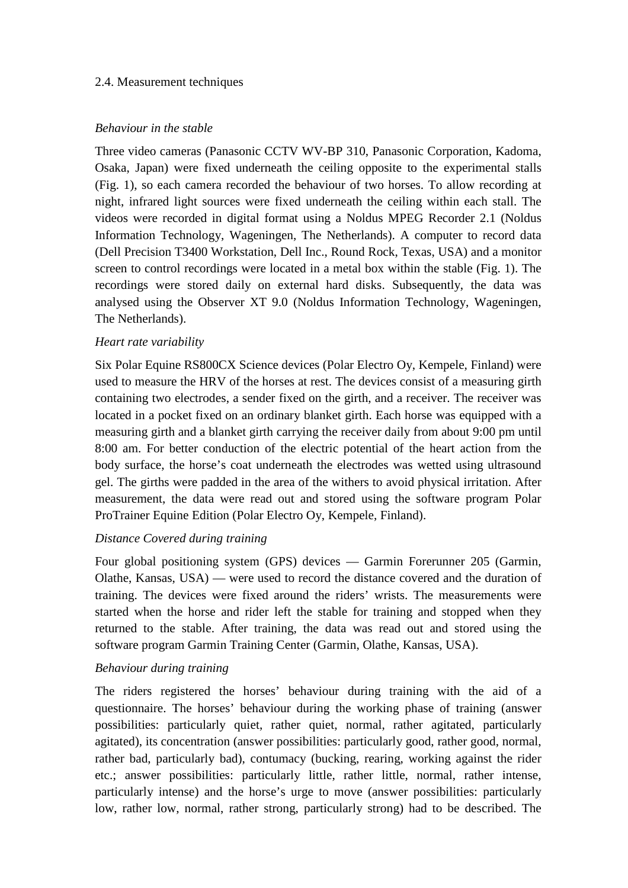## 2.4. Measurement techniques

## *Behaviour in the stable*

Three video cameras (Panasonic CCTV WV-BP 310, Panasonic Corporation, Kadoma, Osaka, Japan) were fixed underneath the ceiling opposite to the experimental stalls (Fig. 1), so each camera recorded the behaviour of two horses. To allow recording at night, infrared light sources were fixed underneath the ceiling within each stall. The videos were recorded in digital format using a Noldus MPEG Recorder 2.1 (Noldus Information Technology, Wageningen, The Netherlands). A computer to record data (Dell Precision T3400 Workstation, Dell Inc., Round Rock, Texas, USA) and a monitor screen to control recordings were located in a metal box within the stable (Fig. 1). The recordings were stored daily on external hard disks. Subsequently, the data was analysed using the Observer XT 9.0 (Noldus Information Technology, Wageningen, The Netherlands).

# *Heart rate variability*

Six Polar Equine RS800CX Science devices (Polar Electro Oy, Kempele, Finland) were used to measure the HRV of the horses at rest. The devices consist of a measuring girth containing two electrodes, a sender fixed on the girth, and a receiver. The receiver was located in a pocket fixed on an ordinary blanket girth. Each horse was equipped with a measuring girth and a blanket girth carrying the receiver daily from about 9:00 pm until 8:00 am. For better conduction of the electric potential of the heart action from the body surface, the horse's coat underneath the electrodes was wetted using ultrasound gel. The girths were padded in the area of the withers to avoid physical irritation. After measurement, the data were read out and stored using the software program Polar ProTrainer Equine Edition (Polar Electro Oy, Kempele, Finland).

# *Distance Covered during training*

Four global positioning system (GPS) devices — Garmin Forerunner 205 (Garmin, Olathe, Kansas, USA) — were used to record the distance covered and the duration of training. The devices were fixed around the riders' wrists. The measurements were started when the horse and rider left the stable for training and stopped when they returned to the stable. After training, the data was read out and stored using the software program Garmin Training Center (Garmin, Olathe, Kansas, USA).

# *Behaviour during training*

The riders registered the horses' behaviour during training with the aid of a questionnaire. The horses' behaviour during the working phase of training (answer possibilities: particularly quiet, rather quiet, normal, rather agitated, particularly agitated), its concentration (answer possibilities: particularly good, rather good, normal, rather bad, particularly bad), contumacy (bucking, rearing, working against the rider etc.; answer possibilities: particularly little, rather little, normal, rather intense, particularly intense) and the horse's urge to move (answer possibilities: particularly low, rather low, normal, rather strong, particularly strong) had to be described. The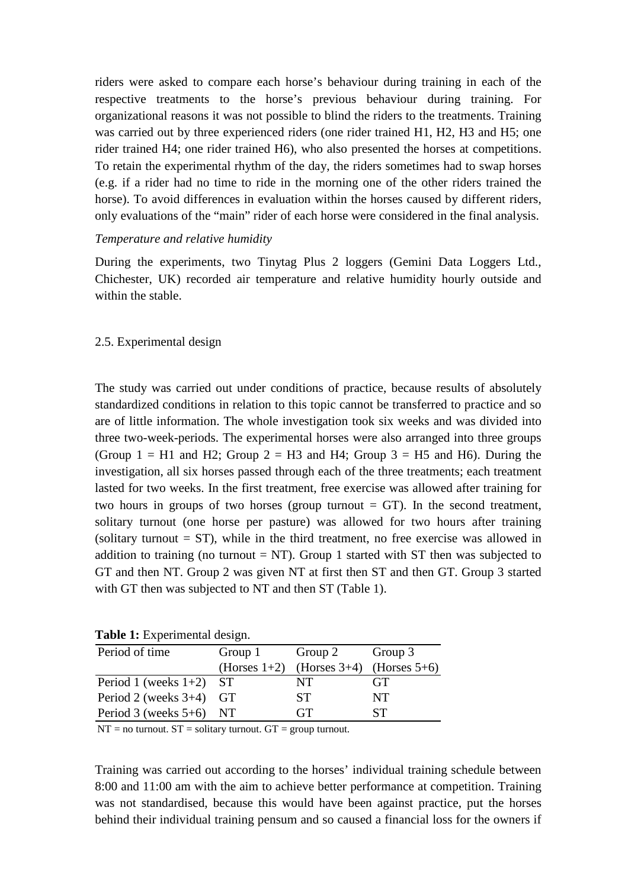riders were asked to compare each horse's behaviour during training in each of the respective treatments to the horse's previous behaviour during training. For organizational reasons it was not possible to blind the riders to the treatments. Training was carried out by three experienced riders (one rider trained H1, H2, H3 and H5; one rider trained H4; one rider trained H6), who also presented the horses at competitions. To retain the experimental rhythm of the day, the riders sometimes had to swap horses (e.g. if a rider had no time to ride in the morning one of the other riders trained the horse). To avoid differences in evaluation within the horses caused by different riders, only evaluations of the "main" rider of each horse were considered in the final analysis.

#### *Temperature and relative humidity*

During the experiments, two Tinytag Plus 2 loggers (Gemini Data Loggers Ltd., Chichester, UK) recorded air temperature and relative humidity hourly outside and within the stable.

## 2.5. Experimental design

The study was carried out under conditions of practice, because results of absolutely standardized conditions in relation to this topic cannot be transferred to practice and so are of little information. The whole investigation took six weeks and was divided into three two-week-periods. The experimental horses were also arranged into three groups (Group  $1 = H1$  and H2; Group  $2 = H3$  and H4; Group  $3 = H5$  and H6). During the investigation, all six horses passed through each of the three treatments; each treatment lasted for two weeks. In the first treatment, free exercise was allowed after training for two hours in groups of two horses (group turnout  $= GT$ ). In the second treatment, solitary turnout (one horse per pasture) was allowed for two hours after training (solitary turnout  $= ST$ ), while in the third treatment, no free exercise was allowed in addition to training (no turnout  $= NT$ ). Group 1 started with ST then was subjected to GT and then NT. Group 2 was given NT at first then ST and then GT. Group 3 started with GT then was subjected to NT and then ST (Table 1).

| <b>rapic 1:</b> Experimental design. |                    |                 |                 |  |  |  |  |  |
|--------------------------------------|--------------------|-----------------|-----------------|--|--|--|--|--|
| Period of time                       | Group 1<br>Group 2 |                 | Group 3         |  |  |  |  |  |
|                                      | (Horses $1+2$ )    | (Horses $3+4$ ) | (Horses $5+6$ ) |  |  |  |  |  |
| Period 1 (weeks $1+2$ ) ST           |                    | NT              | GT              |  |  |  |  |  |
| Period 2 (weeks $3+4$ )              | <b>GT</b>          | <b>ST</b>       | NT              |  |  |  |  |  |
| Period 3 (weeks $5+6$ )              | NT.                | GT              | SТ              |  |  |  |  |  |
|                                      |                    |                 |                 |  |  |  |  |  |

**Table 1:** Experimental design.

 $NT = no$  turnout.  $ST =$  solitary turnout.  $GT =$  group turnout.

Training was carried out according to the horses' individual training schedule between 8:00 and 11:00 am with the aim to achieve better performance at competition. Training was not standardised, because this would have been against practice, put the horses behind their individual training pensum and so caused a financial loss for the owners if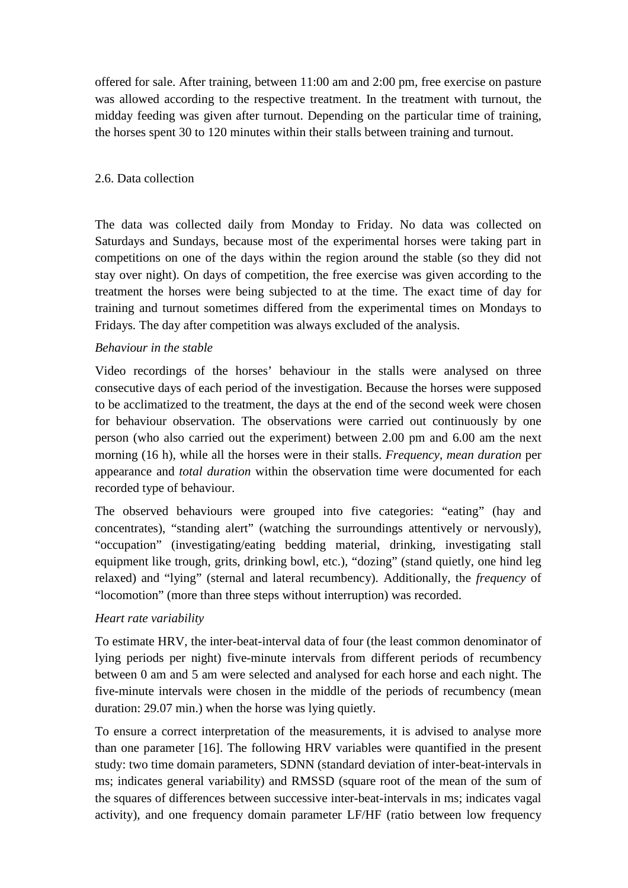offered for sale. After training, between 11:00 am and 2:00 pm, free exercise on pasture was allowed according to the respective treatment. In the treatment with turnout, the midday feeding was given after turnout. Depending on the particular time of training, the horses spent 30 to 120 minutes within their stalls between training and turnout.

# 2.6. Data collection

The data was collected daily from Monday to Friday. No data was collected on Saturdays and Sundays, because most of the experimental horses were taking part in competitions on one of the days within the region around the stable (so they did not stay over night). On days of competition, the free exercise was given according to the treatment the horses were being subjected to at the time. The exact time of day for training and turnout sometimes differed from the experimental times on Mondays to Fridays*.* The day after competition was always excluded of the analysis.

## *Behaviour in the stable*

Video recordings of the horses' behaviour in the stalls were analysed on three consecutive days of each period of the investigation. Because the horses were supposed to be acclimatized to the treatment, the days at the end of the second week were chosen for behaviour observation. The observations were carried out continuously by one person (who also carried out the experiment) between 2.00 pm and 6.00 am the next morning (16 h), while all the horses were in their stalls. *Frequency*, *mean duration* per appearance and *total duration* within the observation time were documented for each recorded type of behaviour.

The observed behaviours were grouped into five categories: "eating" (hay and concentrates), "standing alert" (watching the surroundings attentively or nervously), "occupation" (investigating/eating bedding material, drinking, investigating stall equipment like trough, grits, drinking bowl, etc.), "dozing" (stand quietly, one hind leg relaxed) and "lying" (sternal and lateral recumbency). Additionally, the *frequency* of "locomotion" (more than three steps without interruption) was recorded.

#### *Heart rate variability*

To estimate HRV, the inter-beat-interval data of four (the least common denominator of lying periods per night) five-minute intervals from different periods of recumbency between 0 am and 5 am were selected and analysed for each horse and each night. The five-minute intervals were chosen in the middle of the periods of recumbency (mean duration: 29.07 min.) when the horse was lying quietly.

To ensure a correct interpretation of the measurements, it is advised to analyse more than one parameter [16]. The following HRV variables were quantified in the present study: two time domain parameters, SDNN (standard deviation of inter-beat-intervals in ms; indicates general variability) and RMSSD (square root of the mean of the sum of the squares of differences between successive inter-beat-intervals in ms; indicates vagal activity), and one frequency domain parameter LF/HF (ratio between low frequency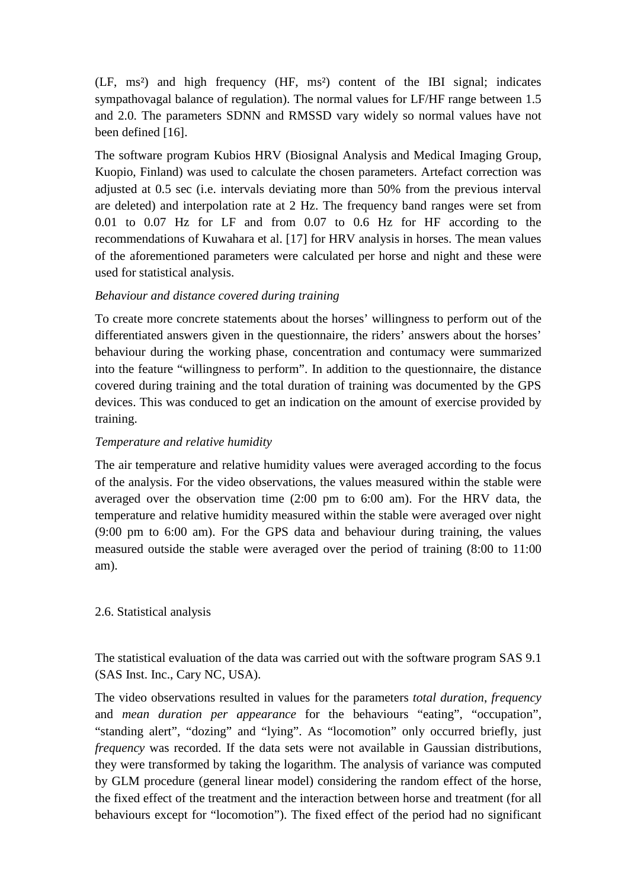(LF, ms²) and high frequency (HF, ms²) content of the IBI signal; indicates sympathovagal balance of regulation). The normal values for LF/HF range between 1.5 and 2.0. The parameters SDNN and RMSSD vary widely so normal values have not been defined [16].

The software program Kubios HRV (Biosignal Analysis and Medical Imaging Group, Kuopio, Finland) was used to calculate the chosen parameters. Artefact correction was adjusted at 0.5 sec (i.e. intervals deviating more than 50% from the previous interval are deleted) and interpolation rate at 2 Hz. The frequency band ranges were set from 0.01 to 0.07 Hz for LF and from 0.07 to 0.6 Hz for HF according to the recommendations of Kuwahara et al. [17] for HRV analysis in horses. The mean values of the aforementioned parameters were calculated per horse and night and these were used for statistical analysis.

## *Behaviour and distance covered during training*

To create more concrete statements about the horses' willingness to perform out of the differentiated answers given in the questionnaire, the riders' answers about the horses' behaviour during the working phase, concentration and contumacy were summarized into the feature "willingness to perform". In addition to the questionnaire, the distance covered during training and the total duration of training was documented by the GPS devices. This was conduced to get an indication on the amount of exercise provided by training.

## *Temperature and relative humidity*

The air temperature and relative humidity values were averaged according to the focus of the analysis. For the video observations, the values measured within the stable were averaged over the observation time (2:00 pm to 6:00 am). For the HRV data, the temperature and relative humidity measured within the stable were averaged over night (9:00 pm to 6:00 am). For the GPS data and behaviour during training, the values measured outside the stable were averaged over the period of training (8:00 to 11:00 am).

#### 2.6. Statistical analysis

The statistical evaluation of the data was carried out with the software program SAS 9.1 (SAS Inst. Inc., Cary NC, USA).

The video observations resulted in values for the parameters *total duration*, *frequency* and *mean duration per appearance* for the behaviours "eating", "occupation", "standing alert", "dozing" and "lying". As "locomotion" only occurred briefly, just *frequency* was recorded. If the data sets were not available in Gaussian distributions, they were transformed by taking the logarithm. The analysis of variance was computed by GLM procedure (general linear model) considering the random effect of the horse, the fixed effect of the treatment and the interaction between horse and treatment (for all behaviours except for "locomotion"). The fixed effect of the period had no significant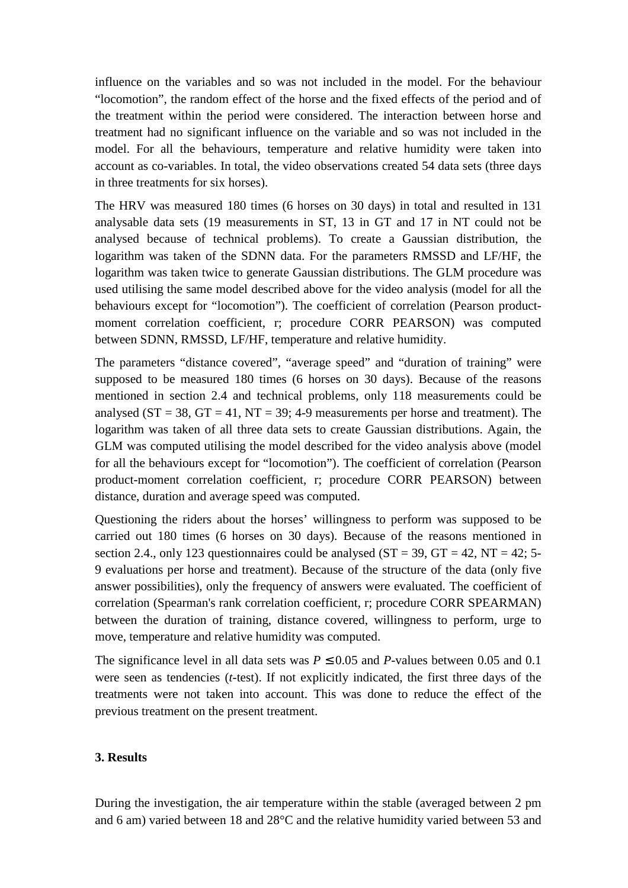influence on the variables and so was not included in the model. For the behaviour "locomotion", the random effect of the horse and the fixed effects of the period and of the treatment within the period were considered. The interaction between horse and treatment had no significant influence on the variable and so was not included in the model. For all the behaviours, temperature and relative humidity were taken into account as co-variables. In total, the video observations created 54 data sets (three days in three treatments for six horses).

The HRV was measured 180 times (6 horses on 30 days) in total and resulted in 131 analysable data sets (19 measurements in ST, 13 in GT and 17 in NT could not be analysed because of technical problems). To create a Gaussian distribution, the logarithm was taken of the SDNN data. For the parameters RMSSD and LF/HF, the logarithm was taken twice to generate Gaussian distributions. The GLM procedure was used utilising the same model described above for the video analysis (model for all the behaviours except for "locomotion"). The coefficient of correlation (Pearson productmoment correlation coefficient, r; procedure CORR PEARSON) was computed between SDNN, RMSSD, LF/HF, temperature and relative humidity.

The parameters "distance covered", "average speed" and "duration of training" were supposed to be measured 180 times (6 horses on 30 days). Because of the reasons mentioned in section 2.4 and technical problems, only 118 measurements could be analysed ( $ST = 38$ ,  $GT = 41$ ,  $NT = 39$ ; 4-9 measurements per horse and treatment). The logarithm was taken of all three data sets to create Gaussian distributions. Again, the GLM was computed utilising the model described for the video analysis above (model for all the behaviours except for "locomotion"). The coefficient of correlation (Pearson product-moment correlation coefficient, r; procedure CORR PEARSON) between distance, duration and average speed was computed.

Questioning the riders about the horses' willingness to perform was supposed to be carried out 180 times (6 horses on 30 days). Because of the reasons mentioned in section 2.4., only 123 questionnaires could be analysed ( $ST = 39$ ,  $GT = 42$ ,  $NT = 42$ ; 5-9 evaluations per horse and treatment). Because of the structure of the data (only five answer possibilities), only the frequency of answers were evaluated. The coefficient of correlation (Spearman's rank correlation coefficient, r; procedure CORR SPEARMAN) between the duration of training, distance covered, willingness to perform, urge to move, temperature and relative humidity was computed.

The significance level in all data sets was  $P \le 0.05$  and *P*-values between 0.05 and 0.1 were seen as tendencies (*t*-test). If not explicitly indicated, the first three days of the treatments were not taken into account. This was done to reduce the effect of the previous treatment on the present treatment.

#### **3. Results**

During the investigation, the air temperature within the stable (averaged between 2 pm and 6 am) varied between 18 and 28°C and the relative humidity varied between 53 and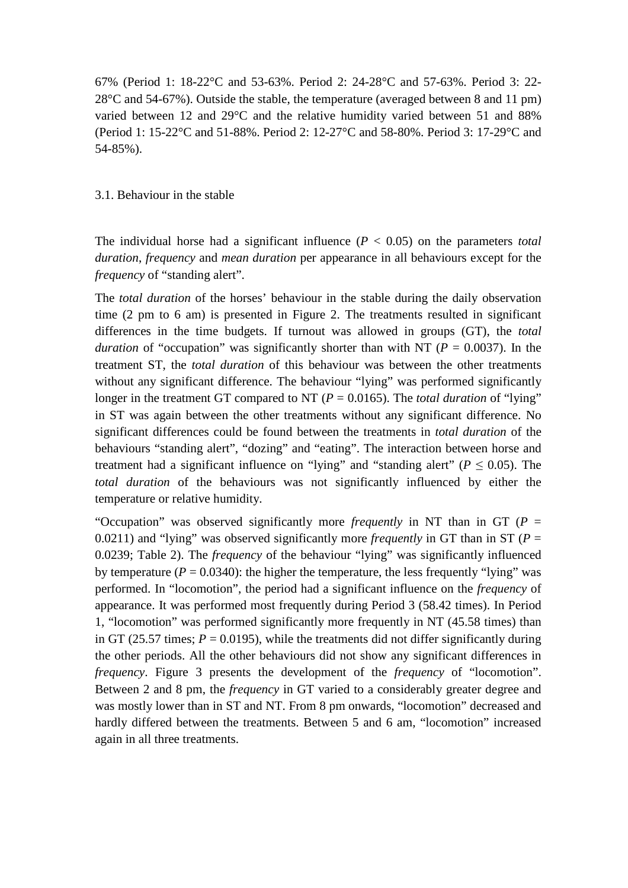67% (Period 1: 18-22°C and 53-63%. Period 2: 24-28°C and 57-63%. Period 3: 22- 28°C and 54-67%). Outside the stable, the temperature (averaged between 8 and 11 pm) varied between 12 and 29°C and the relative humidity varied between 51 and 88% (Period 1: 15-22°C and 51-88%. Period 2: 12-27°C and 58-80%. Period 3: 17-29°C and 54-85%).

#### 3.1. Behaviour in the stable

The individual horse had a significant influence  $(P < 0.05)$  on the parameters *total duration*, *frequency* and *mean duration* per appearance in all behaviours except for the *frequency* of "standing alert".

The *total duration* of the horses' behaviour in the stable during the daily observation time (2 pm to 6 am) is presented in Figure 2. The treatments resulted in significant differences in the time budgets. If turnout was allowed in groups (GT), the *total duration* of "occupation" was significantly shorter than with NT ( $P = 0.0037$ ). In the treatment ST, the *total duration* of this behaviour was between the other treatments without any significant difference. The behaviour "lying" was performed significantly longer in the treatment GT compared to NT ( $P = 0.0165$ ). The *total duration* of "lying" in ST was again between the other treatments without any significant difference. No significant differences could be found between the treatments in *total duration* of the behaviours "standing alert", "dozing" and "eating". The interaction between horse and treatment had a significant influence on "lying" and "standing alert" ( $P \le 0.05$ ). The *total duration* of the behaviours was not significantly influenced by either the temperature or relative humidity.

"Occupation" was observed significantly more *frequently* in NT than in GT (*P* = 0.0211) and "lying" was observed significantly more *frequently* in GT than in ST ( $P =$ 0.0239; Table 2). The *frequency* of the behaviour "lying" was significantly influenced by temperature ( $P = 0.0340$ ): the higher the temperature, the less frequently "lying" was performed. In "locomotion", the period had a significant influence on the *frequency* of appearance. It was performed most frequently during Period 3 (58.42 times). In Period 1, "locomotion" was performed significantly more frequently in NT (45.58 times) than in GT (25.57 times;  $P = 0.0195$ ), while the treatments did not differ significantly during the other periods. All the other behaviours did not show any significant differences in *frequency*. Figure 3 presents the development of the *frequency* of "locomotion". Between 2 and 8 pm, the *frequency* in GT varied to a considerably greater degree and was mostly lower than in ST and NT. From 8 pm onwards, "locomotion" decreased and hardly differed between the treatments. Between 5 and 6 am, "locomotion" increased again in all three treatments.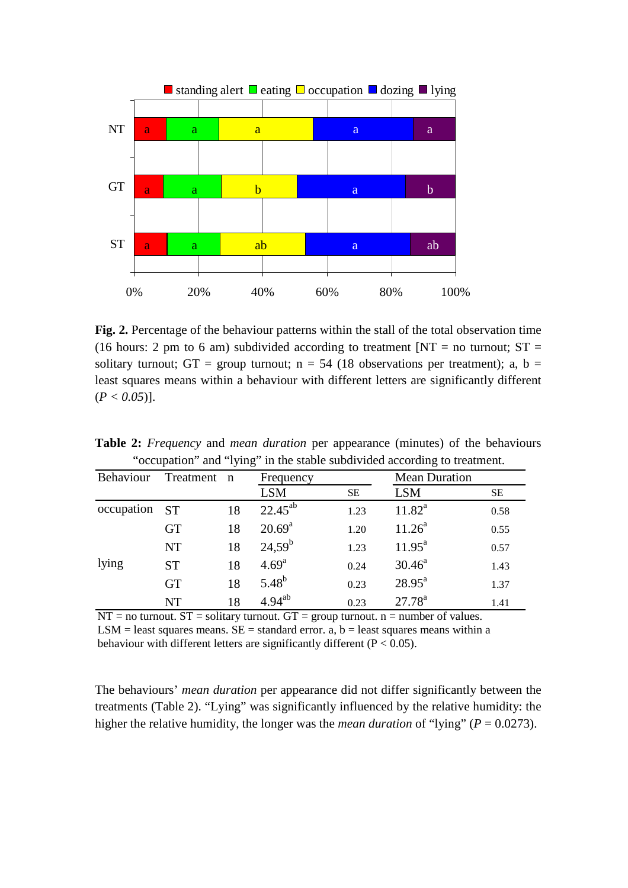

**Fig. 2.** Percentage of the behaviour patterns within the stall of the total observation time (16 hours: 2 pm to 6 am) subdivided according to treatment  $[NT = no$  turnout;  $ST =$ solitary turnout; GT = group turnout;  $n = 54$  (18 observations per treatment); a, b = least squares means within a behaviour with different letters are significantly different  $(P < 0.05)$ ].

|                  |             |    |                   |           | $\alpha$ occupation and Tying in the stable subdivided according to treatment. |      |
|------------------|-------------|----|-------------------|-----------|--------------------------------------------------------------------------------|------|
| <b>Behaviour</b> | Treatment n |    | Frequency         |           | <b>Mean Duration</b>                                                           |      |
|                  |             |    | <b>LSM</b>        | <b>SE</b> | <b>LSM</b>                                                                     | SE.  |
| occupation       | <b>ST</b>   | 18 | $22.45^{ab}$      | 1.23      | $11.82^a$                                                                      | 0.58 |
|                  | <b>GT</b>   | 18 | $20.69^{\rm a}$   | 1.20      | $11.26^a$                                                                      | 0.55 |
|                  | <b>NT</b>   | 18 | $24,59^b$         | 1.23      | $11.95^{\text{a}}$                                                             | 0.57 |
| lying            | <b>ST</b>   | 18 | 4.69 <sup>a</sup> | 0.24      | $30.46^a$                                                                      | 1.43 |
|                  | <b>GT</b>   | 18 | $5.48^{b}$        | 0.23      | $28.95^{\text{a}}$                                                             | 1.37 |
|                  | <b>NT</b>   | 18 | $4.94^{ab}$       | 0.23      | $27.78^{a}$                                                                    | 1.41 |

**Table 2:** *Frequency* and *mean duration* per appearance (minutes) of the behaviours "occupation" and "lying" in the stable subdivided according to treatment.

 $NT = no$  turnout.  $ST =$  solitary turnout.  $GT =$  group turnout.  $n =$  number of values.  $LSM =$  least squares means.  $SE =$  standard error. a, b = least squares means within a behaviour with different letters are significantly different ( $P < 0.05$ ).

The behaviours' *mean duration* per appearance did not differ significantly between the treatments (Table 2). "Lying" was significantly influenced by the relative humidity: the higher the relative humidity, the longer was the *mean duration* of "lying" ( $P = 0.0273$ ).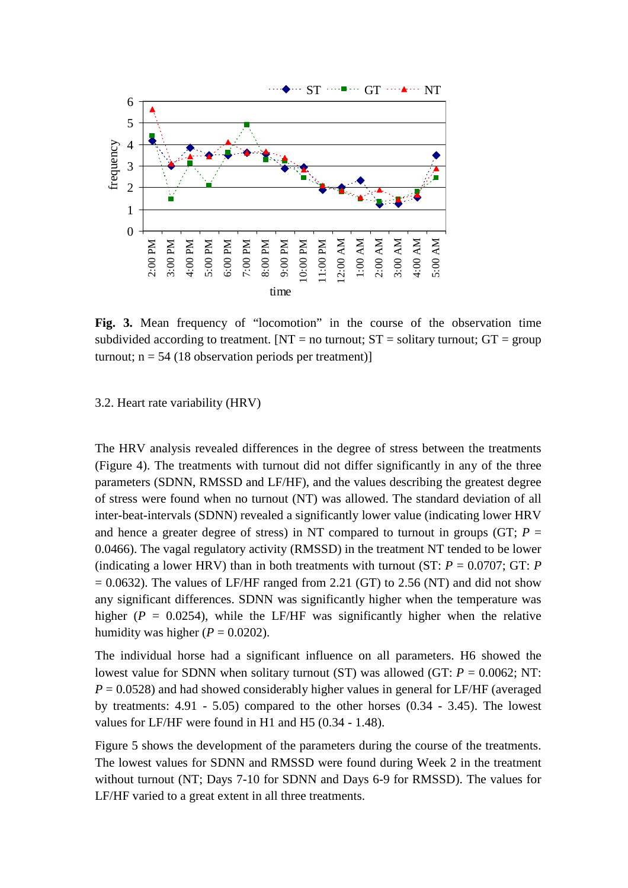

**Fig. 3.** Mean frequency of "locomotion" in the course of the observation time subdivided according to treatment.  $[NT = no$  turnout;  $ST =$  solitary turnout;  $GT =$  group turnout;  $n = 54$  (18 observation periods per treatment)]

#### 3.2. Heart rate variability (HRV)

The HRV analysis revealed differences in the degree of stress between the treatments (Figure 4). The treatments with turnout did not differ significantly in any of the three parameters (SDNN, RMSSD and LF/HF), and the values describing the greatest degree of stress were found when no turnout (NT) was allowed. The standard deviation of all inter-beat-intervals (SDNN) revealed a significantly lower value (indicating lower HRV and hence a greater degree of stress) in NT compared to turnout in groups (GT;  $P =$ 0.0466). The vagal regulatory activity (RMSSD) in the treatment NT tended to be lower (indicating a lower HRV) than in both treatments with turnout (ST:  $P = 0.0707$ ; GT: *P*  $= 0.0632$ ). The values of LF/HF ranged from 2.21 (GT) to 2.56 (NT) and did not show any significant differences. SDNN was significantly higher when the temperature was higher ( $P = 0.0254$ ), while the LF/HF was significantly higher when the relative humidity was higher ( $P = 0.0202$ ).

The individual horse had a significant influence on all parameters. H6 showed the lowest value for SDNN when solitary turnout (ST) was allowed (GT: *P* = 0.0062; NT:  $P = 0.0528$ ) and had showed considerably higher values in general for LF/HF (averaged by treatments: 4.91 - 5.05) compared to the other horses (0.34 - 3.45). The lowest values for LF/HF were found in H1 and H5 (0.34 - 1.48).

Figure 5 shows the development of the parameters during the course of the treatments. The lowest values for SDNN and RMSSD were found during Week 2 in the treatment without turnout (NT; Days 7-10 for SDNN and Days 6-9 for RMSSD). The values for LF/HF varied to a great extent in all three treatments.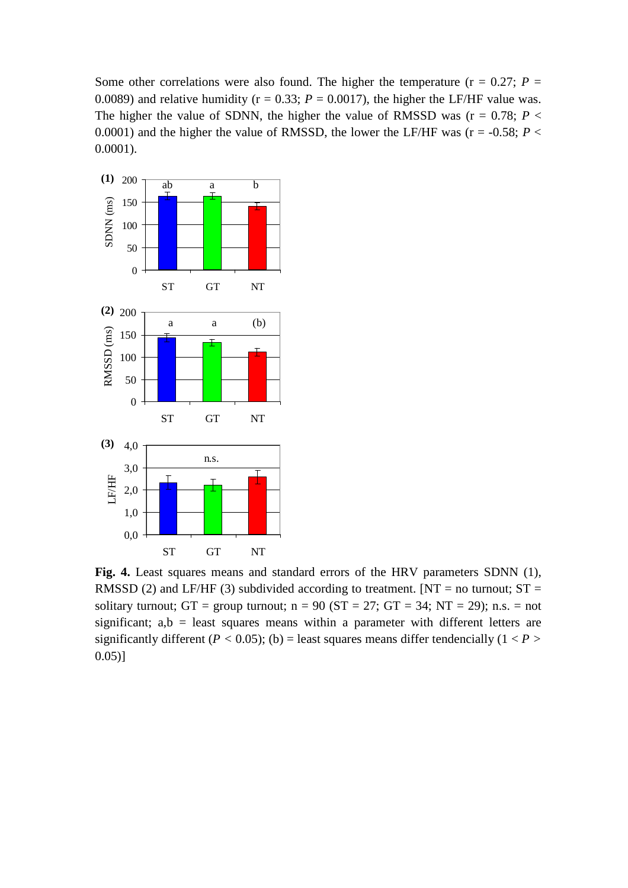Some other correlations were also found. The higher the temperature ( $r = 0.27$ ;  $P =$ 0.0089) and relative humidity ( $r = 0.33$ ;  $P = 0.0017$ ), the higher the LF/HF value was. The higher the value of SDNN, the higher the value of RMSSD was ( $r = 0.78$ ;  $P <$ 0.0001) and the higher the value of RMSSD, the lower the LF/HF was ( $r = -0.58$ ;  $P <$ 0.0001).



**Fig. 4.** Least squares means and standard errors of the HRV parameters SDNN (1), RMSSD (2) and LF/HF (3) subdivided according to treatment. [NT = no turnout;  $ST =$ solitary turnout; GT = group turnout;  $n = 90$  (ST = 27; GT = 34; NT = 29); n.s. = not significant;  $a,b =$  least squares means within a parameter with different letters are significantly different ( $P < 0.05$ ); (b) = least squares means differ tendencially ( $1 < P$ ) 0.05)]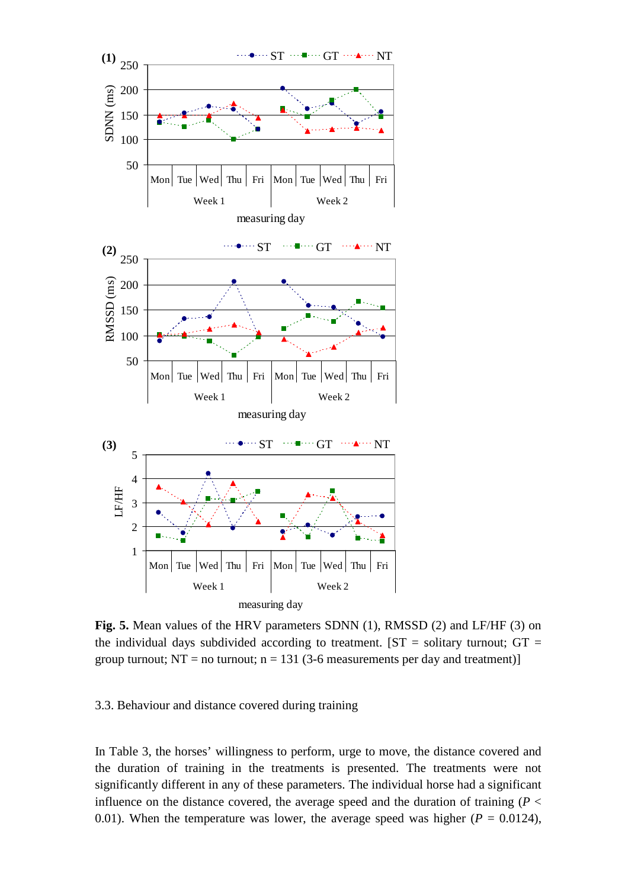

**Fig. 5.** Mean values of the HRV parameters SDNN (1), RMSSD (2) and LF/HF (3) on the individual days subdivided according to treatment.  $[ST =$  solitary turnout;  $GT =$ group turnout;  $NT = no$  turnout;  $n = 131$  (3-6 measurements per day and treatment)]

3.3. Behaviour and distance covered during training

In Table 3, the horses' willingness to perform, urge to move, the distance covered and the duration of training in the treatments is presented. The treatments were not significantly different in any of these parameters. The individual horse had a significant influence on the distance covered, the average speed and the duration of training ( $P <$ 0.01). When the temperature was lower, the average speed was higher ( $P = 0.0124$ ),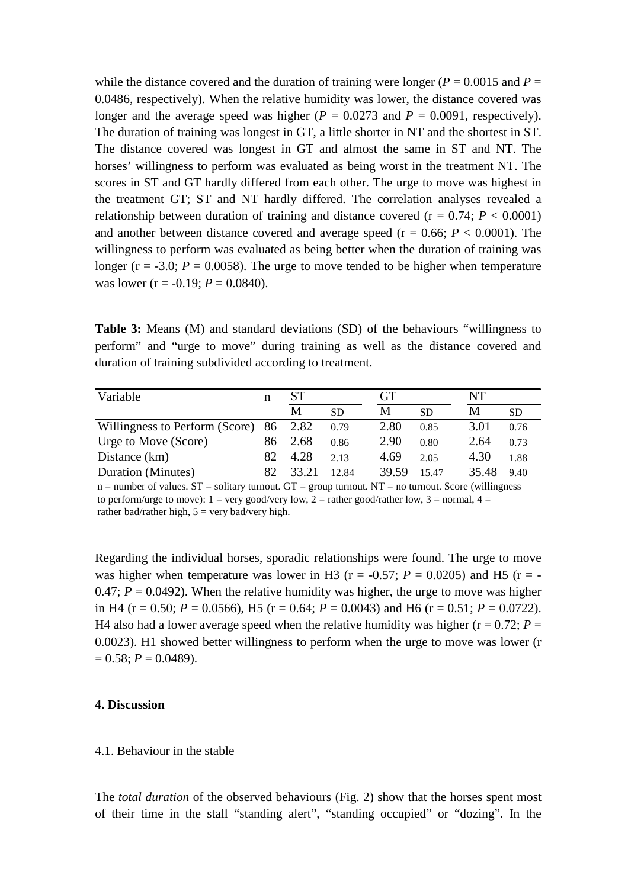while the distance covered and the duration of training were longer ( $P = 0.0015$  and  $P =$ 0.0486, respectively). When the relative humidity was lower, the distance covered was longer and the average speed was higher  $(P = 0.0273$  and  $P = 0.0091$ , respectively). The duration of training was longest in GT, a little shorter in NT and the shortest in ST. The distance covered was longest in GT and almost the same in ST and NT. The horses' willingness to perform was evaluated as being worst in the treatment NT. The scores in ST and GT hardly differed from each other. The urge to move was highest in the treatment GT; ST and NT hardly differed. The correlation analyses revealed a relationship between duration of training and distance covered  $(r = 0.74; P < 0.0001)$ and another between distance covered and average speed ( $r = 0.66$ ;  $P < 0.0001$ ). The willingness to perform was evaluated as being better when the duration of training was longer ( $r = -3.0$ ;  $P = 0.0058$ ). The urge to move tended to be higher when temperature was lower ( $r = -0.19$ ;  $P = 0.0840$ ).

**Table 3:** Means (M) and standard deviations (SD) of the behaviours "willingness to perform" and "urge to move" during training as well as the distance covered and duration of training subdivided according to treatment.

| Variable                               | n   | SТ    |           | GT    |      | <b>NT</b> |           |
|----------------------------------------|-----|-------|-----------|-------|------|-----------|-----------|
|                                        |     | M     | <b>SD</b> | Μ     | SD   | М         | <b>SD</b> |
| Willingness to Perform (Score) 86 2.82 |     |       | 0.79      | 2.80  | 0.85 | 3.01      | 0.76      |
| Urge to Move (Score)                   | 86  | 2.68  | 0.86      | 2.90  | 0.80 | 2.64      | 0.73      |
| Distance (km)                          | 82. | 4.28  | 2.13      | 4.69  | 2.05 | 4.30      | 1.88      |
| Duration (Minutes)                     | 82  | 33.21 | 12.84     | 39.59 | 1547 | 35.48     | 9.40      |

 $n =$  number of values.  $ST =$  solitary turnout.  $GT =$  group turnout.  $NT =$  no turnout. Score (willingness) to perform/urge to move):  $1 = \text{very good/very low}, 2 = \text{rather good/rather low}, 3 = \text{normal}, 4 =$ rather bad/rather high,  $5 = \text{very bad/very high.}$ 

Regarding the individual horses, sporadic relationships were found. The urge to move was higher when temperature was lower in H3 ( $r = -0.57$ ;  $P = 0.0205$ ) and H5 ( $r = -$ 0.47;  $P = 0.0492$ ). When the relative humidity was higher, the urge to move was higher in H4 (r = 0.50; *P* = 0.0566), H5 (r = 0.64; *P* = 0.0043) and H6 (r = 0.51; *P* = 0.0722). H4 also had a lower average speed when the relative humidity was higher ( $r = 0.72$ ;  $P =$ 0.0023). H1 showed better willingness to perform when the urge to move was lower (r  $= 0.58$ ;  $P = 0.0489$ ).

#### **4. Discussion**

#### 4.1. Behaviour in the stable

The *total duration* of the observed behaviours (Fig. 2) show that the horses spent most of their time in the stall "standing alert", "standing occupied" or "dozing". In the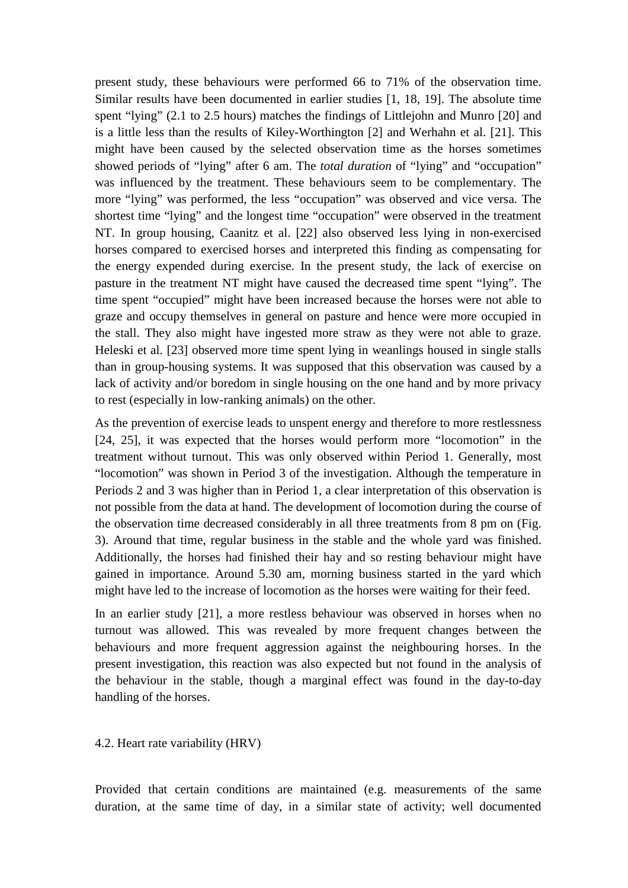present study, these behaviours were performed 66 to 71% of the observation time. Similar results have been documented in earlier studies [1, 18, 19]. The absolute time spent "lying" (2.1 to 2.5 hours) matches the findings of Littlejohn and Munro [20] and is a little less than the results of Kiley-Worthington [2] and Werhahn et al. [21]. This might have been caused by the selected observation time as the horses sometimes showed periods of "lying" after 6 am. The *total duration* of "lying" and "occupation" was influenced by the treatment. These behaviours seem to be complementary. The more "lying" was performed, the less "occupation" was observed and vice versa. The shortest time "lying" and the longest time "occupation" were observed in the treatment NT. In group housing, Caanitz et al. [22] also observed less lying in non-exercised horses compared to exercised horses and interpreted this finding as compensating for the energy expended during exercise. In the present study, the lack of exercise on pasture in the treatment NT might have caused the decreased time spent "lying". The time spent "occupied" might have been increased because the horses were not able to graze and occupy themselves in general on pasture and hence were more occupied in the stall. They also might have ingested more straw as they were not able to graze. Heleski et al. [23] observed more time spent lying in weanlings housed in single stalls than in group-housing systems. It was supposed that this observation was caused by a lack of activity and/or boredom in single housing on the one hand and by more privacy to rest (especially in low-ranking animals) on the other.

As the prevention of exercise leads to unspent energy and therefore to more restlessness [24, 25], it was expected that the horses would perform more "locomotion" in the treatment without turnout. This was only observed within Period 1. Generally, most "locomotion" was shown in Period 3 of the investigation. Although the temperature in Periods 2 and 3 was higher than in Period 1, a clear interpretation of this observation is not possible from the data at hand. The development of locomotion during the course of the observation time decreased considerably in all three treatments from 8 pm on (Fig. 3). Around that time, regular business in the stable and the whole yard was finished. Additionally, the horses had finished their hay and so resting behaviour might have gained in importance. Around 5.30 am, morning business started in the yard which might have led to the increase of locomotion as the horses were waiting for their feed.

In an earlier study [21], a more restless behaviour was observed in horses when no turnout was allowed. This was revealed by more frequent changes between the behaviours and more frequent aggression against the neighbouring horses. In the present investigation, this reaction was also expected but not found in the analysis of the behaviour in the stable, though a marginal effect was found in the day-to-day handling of the horses.

#### 4.2. Heart rate variability (HRV)

Provided that certain conditions are maintained (e.g. measurements of the same duration, at the same time of day, in a similar state of activity; well documented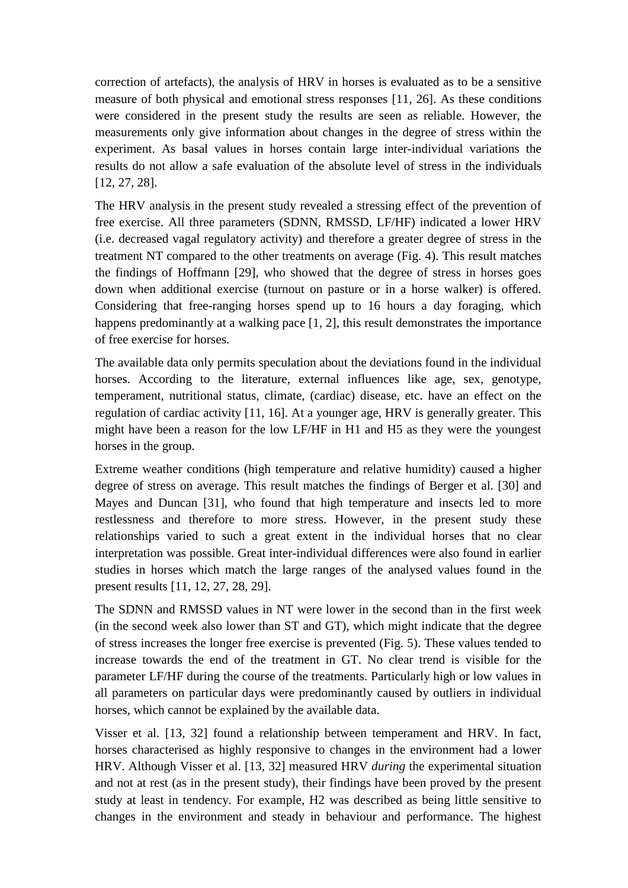correction of artefacts), the analysis of HRV in horses is evaluated as to be a sensitive measure of both physical and emotional stress responses [11, 26]. As these conditions were considered in the present study the results are seen as reliable. However, the measurements only give information about changes in the degree of stress within the experiment. As basal values in horses contain large inter-individual variations the results do not allow a safe evaluation of the absolute level of stress in the individuals [12, 27, 28].

The HRV analysis in the present study revealed a stressing effect of the prevention of free exercise. All three parameters (SDNN, RMSSD, LF/HF) indicated a lower HRV (i.e. decreased vagal regulatory activity) and therefore a greater degree of stress in the treatment NT compared to the other treatments on average (Fig. 4). This result matches the findings of Hoffmann [29], who showed that the degree of stress in horses goes down when additional exercise (turnout on pasture or in a horse walker) is offered. Considering that free-ranging horses spend up to 16 hours a day foraging, which happens predominantly at a walking pace [1, 2], this result demonstrates the importance of free exercise for horses.

The available data only permits speculation about the deviations found in the individual horses. According to the literature, external influences like age, sex, genotype, temperament, nutritional status, climate, (cardiac) disease, etc. have an effect on the regulation of cardiac activity [11, 16]. At a younger age, HRV is generally greater. This might have been a reason for the low LF/HF in H1 and H5 as they were the youngest horses in the group.

Extreme weather conditions (high temperature and relative humidity) caused a higher degree of stress on average. This result matches the findings of Berger et al. [30] and Mayes and Duncan [31], who found that high temperature and insects led to more restlessness and therefore to more stress. However, in the present study these relationships varied to such a great extent in the individual horses that no clear interpretation was possible. Great inter-individual differences were also found in earlier studies in horses which match the large ranges of the analysed values found in the present results [11, 12, 27, 28, 29].

The SDNN and RMSSD values in NT were lower in the second than in the first week (in the second week also lower than ST and GT), which might indicate that the degree of stress increases the longer free exercise is prevented (Fig. 5). These values tended to increase towards the end of the treatment in GT. No clear trend is visible for the parameter LF/HF during the course of the treatments. Particularly high or low values in all parameters on particular days were predominantly caused by outliers in individual horses, which cannot be explained by the available data.

Visser et al. [13, 32] found a relationship between temperament and HRV. In fact, horses characterised as highly responsive to changes in the environment had a lower HRV. Although Visser et al. [13, 32] measured HRV *during* the experimental situation and not at rest (as in the present study), their findings have been proved by the present study at least in tendency. For example, H2 was described as being little sensitive to changes in the environment and steady in behaviour and performance. The highest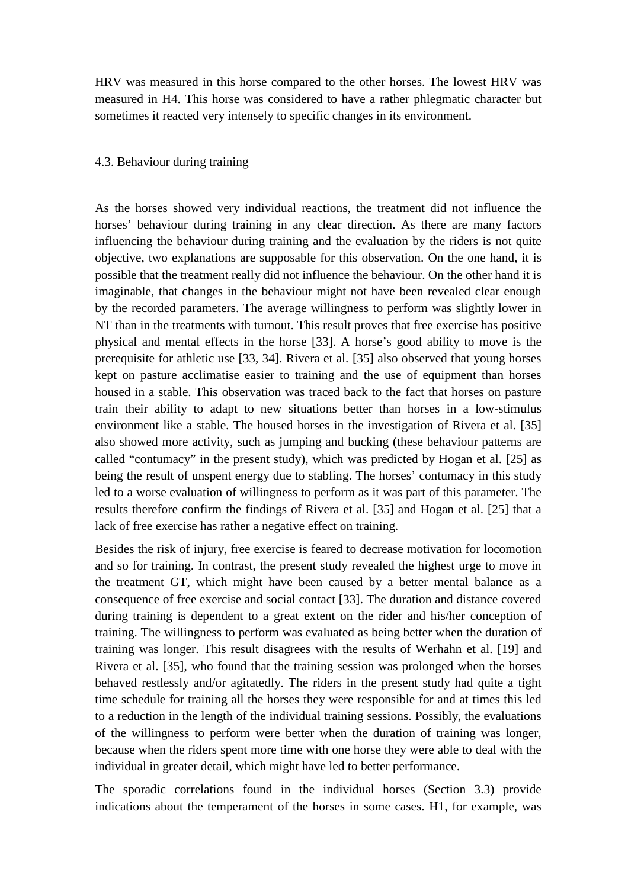HRV was measured in this horse compared to the other horses. The lowest HRV was measured in H4. This horse was considered to have a rather phlegmatic character but sometimes it reacted very intensely to specific changes in its environment.

#### 4.3. Behaviour during training

As the horses showed very individual reactions, the treatment did not influence the horses' behaviour during training in any clear direction. As there are many factors influencing the behaviour during training and the evaluation by the riders is not quite objective, two explanations are supposable for this observation. On the one hand, it is possible that the treatment really did not influence the behaviour. On the other hand it is imaginable, that changes in the behaviour might not have been revealed clear enough by the recorded parameters. The average willingness to perform was slightly lower in NT than in the treatments with turnout. This result proves that free exercise has positive physical and mental effects in the horse [33]. A horse's good ability to move is the prerequisite for athletic use [33, 34]. Rivera et al. [35] also observed that young horses kept on pasture acclimatise easier to training and the use of equipment than horses housed in a stable. This observation was traced back to the fact that horses on pasture train their ability to adapt to new situations better than horses in a low-stimulus environment like a stable. The housed horses in the investigation of Rivera et al. [35] also showed more activity, such as jumping and bucking (these behaviour patterns are called "contumacy" in the present study), which was predicted by Hogan et al. [25] as being the result of unspent energy due to stabling. The horses' contumacy in this study led to a worse evaluation of willingness to perform as it was part of this parameter. The results therefore confirm the findings of Rivera et al. [35] and Hogan et al. [25] that a lack of free exercise has rather a negative effect on training.

Besides the risk of injury, free exercise is feared to decrease motivation for locomotion and so for training. In contrast, the present study revealed the highest urge to move in the treatment GT, which might have been caused by a better mental balance as a consequence of free exercise and social contact [33]. The duration and distance covered during training is dependent to a great extent on the rider and his/her conception of training. The willingness to perform was evaluated as being better when the duration of training was longer. This result disagrees with the results of Werhahn et al. [19] and Rivera et al. [35], who found that the training session was prolonged when the horses behaved restlessly and/or agitatedly. The riders in the present study had quite a tight time schedule for training all the horses they were responsible for and at times this led to a reduction in the length of the individual training sessions. Possibly, the evaluations of the willingness to perform were better when the duration of training was longer, because when the riders spent more time with one horse they were able to deal with the individual in greater detail, which might have led to better performance.

The sporadic correlations found in the individual horses (Section 3.3) provide indications about the temperament of the horses in some cases. H1, for example, was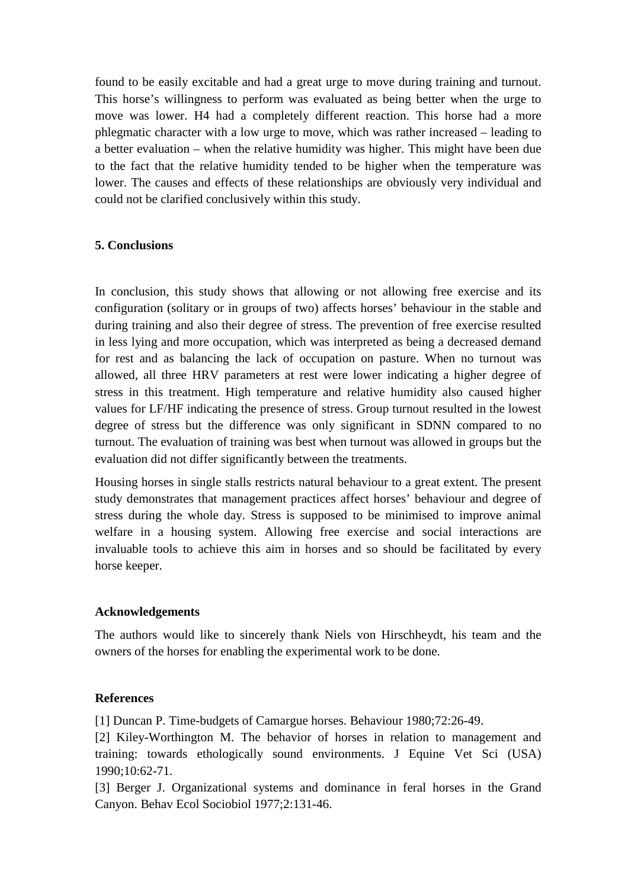found to be easily excitable and had a great urge to move during training and turnout. This horse's willingness to perform was evaluated as being better when the urge to move was lower. H4 had a completely different reaction. This horse had a more phlegmatic character with a low urge to move, which was rather increased – leading to a better evaluation – when the relative humidity was higher. This might have been due to the fact that the relative humidity tended to be higher when the temperature was lower. The causes and effects of these relationships are obviously very individual and could not be clarified conclusively within this study.

#### **5. Conclusions**

In conclusion, this study shows that allowing or not allowing free exercise and its configuration (solitary or in groups of two) affects horses' behaviour in the stable and during training and also their degree of stress. The prevention of free exercise resulted in less lying and more occupation, which was interpreted as being a decreased demand for rest and as balancing the lack of occupation on pasture. When no turnout was allowed, all three HRV parameters at rest were lower indicating a higher degree of stress in this treatment. High temperature and relative humidity also caused higher values for LF/HF indicating the presence of stress. Group turnout resulted in the lowest degree of stress but the difference was only significant in SDNN compared to no turnout. The evaluation of training was best when turnout was allowed in groups but the evaluation did not differ significantly between the treatments.

Housing horses in single stalls restricts natural behaviour to a great extent. The present study demonstrates that management practices affect horses' behaviour and degree of stress during the whole day. Stress is supposed to be minimised to improve animal welfare in a housing system. Allowing free exercise and social interactions are invaluable tools to achieve this aim in horses and so should be facilitated by every horse keeper.

#### **Acknowledgements**

The authors would like to sincerely thank Niels von Hirschheydt, his team and the owners of the horses for enabling the experimental work to be done.

#### **References**

[1] Duncan P. Time-budgets of Camargue horses. Behaviour 1980;72:26-49.

[2] Kiley-Worthington M. The behavior of horses in relation to management and training: towards ethologically sound environments. J Equine Vet Sci (USA) 1990;10:62-71.

[3] Berger J. Organizational systems and dominance in feral horses in the Grand Canyon. Behav Ecol Sociobiol 1977;2:131-46.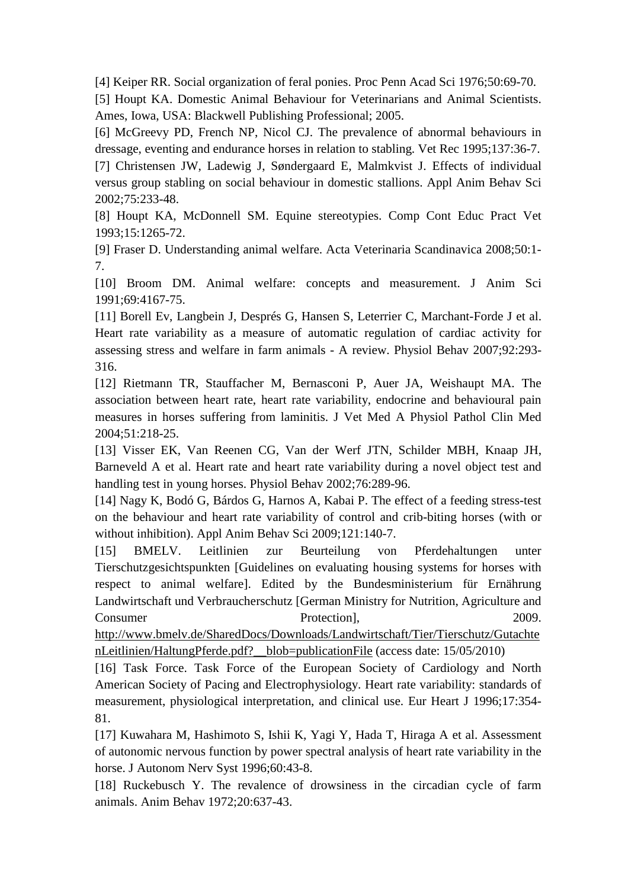[4] Keiper RR. Social organization of feral ponies. Proc Penn Acad Sci 1976;50:69-70.

[5] Houpt KA. Domestic Animal Behaviour for Veterinarians and Animal Scientists. Ames, Iowa, USA: Blackwell Publishing Professional; 2005.

[6] McGreevy PD, French NP, Nicol CJ. The prevalence of abnormal behaviours in dressage, eventing and endurance horses in relation to stabling. Vet Rec 1995;137:36-7.

[7] Christensen JW, Ladewig J, Søndergaard E, Malmkvist J. Effects of individual versus group stabling on social behaviour in domestic stallions. Appl Anim Behav Sci 2002;75:233-48.

[8] Houpt KA, McDonnell SM. Equine stereotypies. Comp Cont Educ Pract Vet 1993;15:1265-72.

[9] Fraser D. Understanding animal welfare. Acta Veterinaria Scandinavica 2008;50:1- 7.

[10] Broom DM. Animal welfare: concepts and measurement. J Anim Sci 1991;69:4167-75.

[11] Borell Ev, Langbein J, Després G, Hansen S, Leterrier C, Marchant-Forde J et al. Heart rate variability as a measure of automatic regulation of cardiac activity for assessing stress and welfare in farm animals - A review. Physiol Behav 2007;92:293- 316.

[12] Rietmann TR, Stauffacher M, Bernasconi P, Auer JA, Weishaupt MA. The association between heart rate, heart rate variability, endocrine and behavioural pain measures in horses suffering from laminitis. J Vet Med A Physiol Pathol Clin Med 2004;51:218-25.

[13] Visser EK, Van Reenen CG, Van der Werf JTN, Schilder MBH, Knaap JH, Barneveld A et al. Heart rate and heart rate variability during a novel object test and handling test in young horses. Physiol Behav 2002;76:289-96.

[14] Nagy K, Bodó G, Bárdos G, Harnos A, Kabai P. The effect of a feeding stress-test on the behaviour and heart rate variability of control and crib-biting horses (with or without inhibition). Appl Anim Behav Sci 2009;121:140-7.

[15] BMELV. Leitlinien zur Beurteilung von Pferdehaltungen unter Tierschutzgesichtspunkten [Guidelines on evaluating housing systems for horses with respect to animal welfare]. Edited by the Bundesministerium für Ernährung Landwirtschaft und Verbraucherschutz [German Ministry for Nutrition, Agriculture and Consumer Protection. Protection. 2009.

http://www.bmelv.de/SharedDocs/Downloads/Landwirtschaft/Tier/Tierschutz/Gutachte nLeitlinien/HaltungPferde.pdf?\_\_blob=publicationFile (access date: 15/05/2010)

[16] Task Force. Task Force of the European Society of Cardiology and North American Society of Pacing and Electrophysiology. Heart rate variability: standards of measurement, physiological interpretation, and clinical use. Eur Heart J 1996;17:354- 81.

[17] Kuwahara M, Hashimoto S, Ishii K, Yagi Y, Hada T, Hiraga A et al. Assessment of autonomic nervous function by power spectral analysis of heart rate variability in the horse. J Autonom Nerv Syst 1996;60:43-8.

[18] Ruckebusch Y. The revalence of drowsiness in the circadian cycle of farm animals. Anim Behav 1972;20:637-43.